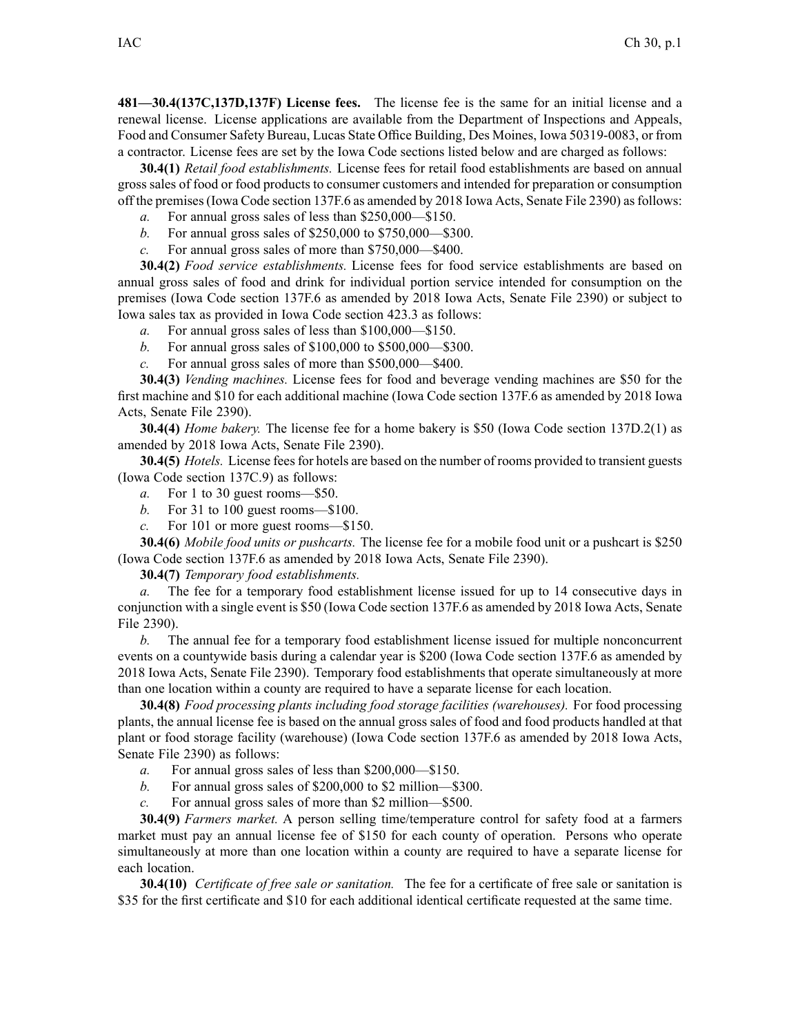**481—30.4(137C,137D,137F) License fees.** The license fee is the same for an initial license and <sup>a</sup> renewal license. License applications are available from the Department of Inspections and Appeals, Food and Consumer Safety Bureau, Lucas State Office Building, Des Moines, Iowa 50319-0083, or from <sup>a</sup> contractor. License fees are set by the Iowa Code sections listed below and are charged as follows:

**30.4(1)** *Retail food establishments.* License fees for retail food establishments are based on annual gross sales of food or food products to consumer customers and intended for preparation or consumption off the premises(Iowa Code section [137F.6](https://www.legis.iowa.gov/docs/ico/section/137F.6.pdf) as amended by 2018 Iowa Acts, Senate File 2390) asfollows:

- *a.* For annual gross sales of less than \$250,000—\$150.
- *b.* For annual gross sales of \$250,000 to \$750,000—\$300.
- *c.* For annual gross sales of more than \$750,000—\$400.

**30.4(2)** *Food service establishments.* License fees for food service establishments are based on annual gross sales of food and drink for individual portion service intended for consumption on the premises (Iowa Code section [137F.6](https://www.legis.iowa.gov/docs/ico/section/137F.6.pdf) as amended by 2018 Iowa Acts, Senate File 2390) or subject to Iowa sales tax as provided in Iowa Code section [423.3](https://www.legis.iowa.gov/docs/ico/section/423.3.pdf) as follows:

- *a.* For annual gross sales of less than \$100,000—\$150.
- *b.* For annual gross sales of \$100,000 to \$500,000—\$300.
- *c.* For annual gross sales of more than \$500,000—\$400.

**30.4(3)** *Vending machines.* License fees for food and beverage vending machines are \$50 for the first machine and \$10 for each additional machine (Iowa Code section [137F.6](https://www.legis.iowa.gov/docs/ico/section/137F.6.pdf) as amended by 2018 Iowa Acts, Senate File 2390).

**30.4(4)** *Home bakery.* The license fee for <sup>a</sup> home bakery is \$50 (Iowa Code section [137D.2\(1\)](https://www.legis.iowa.gov/docs/ico/section/137D.2.pdf) as amended by 2018 Iowa Acts, Senate File 2390).

**30.4(5)** *Hotels.* License feesfor hotels are based on the number of rooms provided to transient guests (Iowa Code section [137C.9](https://www.legis.iowa.gov/docs/ico/section/137C.9.pdf)) as follows:

- *a.* For 1 to 30 gues<sup>t</sup> rooms—\$50.
- *b.* For 31 to 100 gues<sup>t</sup> rooms—\$100.
- *c.* For 101 or more gues<sup>t</sup> rooms—\$150.

**30.4(6)** *Mobile food units or pushcarts.* The license fee for <sup>a</sup> mobile food unit or <sup>a</sup> pushcart is \$250 (Iowa Code section [137F.6](https://www.legis.iowa.gov/docs/ico/section/137F.6.pdf) as amended by 2018 Iowa Acts, Senate File 2390).

**30.4(7)** *Temporary food establishments.*

*a.* The fee for <sup>a</sup> temporary food establishment license issued for up to 14 consecutive days in conjunction with <sup>a</sup> single event is \$50 (Iowa Code section [137F.6](https://www.legis.iowa.gov/docs/ico/section/137F.6.pdf) as amended by 2018 Iowa Acts, Senate File 2390).

*b.* The annual fee for <sup>a</sup> temporary food establishment license issued for multiple nonconcurrent events on <sup>a</sup> countywide basis during <sup>a</sup> calendar year is \$200 (Iowa Code section [137F.6](https://www.legis.iowa.gov/docs/ico/section/2018/137F.6.pdf) as amended by 2018 Iowa Acts, Senate File 2390). Temporary food establishments that operate simultaneously at more than one location within <sup>a</sup> county are required to have <sup>a</sup> separate license for each location.

**30.4(8)** *Food processing plants including food storage facilities (warehouses).* For food processing plants, the annual license fee is based on the annual gross sales of food and food products handled at that plant or food storage facility (warehouse) (Iowa Code section [137F.6](https://www.legis.iowa.gov/docs/ico/section/137F.6.pdf) as amended by 2018 Iowa Acts, Senate File 2390) as follows:

- *a.* For annual gross sales of less than \$200,000—\$150.
- *b.* For annual gross sales of \$200,000 to \$2 million—\$300.
- *c.* For annual gross sales of more than \$2 million—\$500.

**30.4(9)** *Farmers market.* A person selling time/temperature control for safety food at <sup>a</sup> farmers market must pay an annual license fee of \$150 for each county of operation. Persons who operate simultaneously at more than one location within <sup>a</sup> county are required to have <sup>a</sup> separate license for each location.

**30.4(10)** *Certificate of free sale or sanitation.* The fee for <sup>a</sup> certificate of free sale or sanitation is \$35 for the first certificate and \$10 for each additional identical certificate requested at the same time.